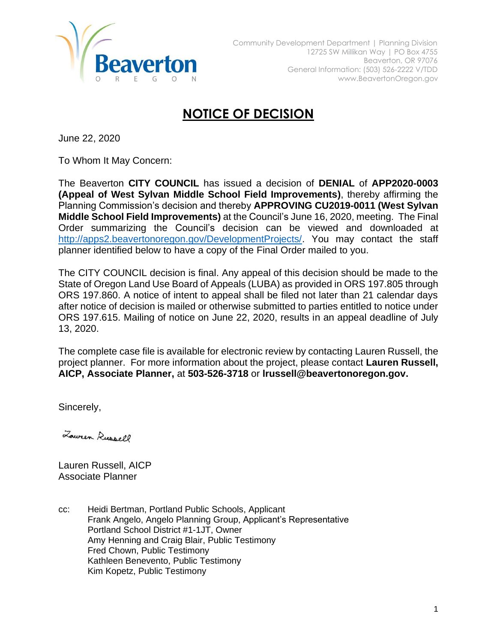

## **NOTICE OF DECISION**

June 22, 2020

To Whom It May Concern:

The Beaverton **CITY COUNCIL** has issued a decision of **DENIAL** of **APP2020-0003 (Appeal of West Sylvan Middle School Field Improvements)**, thereby affirming the Planning Commission's decision and thereby **APPROVING CU2019-0011 (West Sylvan Middle School Field Improvements)** at the Council's June 16, 2020, meeting. The Final Order summarizing the Council's decision can be viewed and downloaded at [http://apps2.beavertonoregon.gov/DevelopmentProjects/.](http://apps2.beavertonoregon.gov/DevelopmentProjects/) You may contact the staff planner identified below to have a copy of the Final Order mailed to you.

The CITY COUNCIL decision is final. Any appeal of this decision should be made to the State of Oregon Land Use Board of Appeals (LUBA) as provided in ORS 197.805 through ORS 197.860. A notice of intent to appeal shall be filed not later than 21 calendar days after notice of decision is mailed or otherwise submitted to parties entitled to notice under ORS 197.615. Mailing of notice on June 22, 2020, results in an appeal deadline of July 13, 2020.

The complete case file is available for electronic review by contacting Lauren Russell, the project planner. For more information about the project, please contact **Lauren Russell, AICP, Associate Planner,** at **503-526-3718** or **lrussell@beavertonoregon.gov.**

Sincerely,

Lower Russell

Lauren Russell, AICP Associate Planner

cc: Heidi Bertman, Portland Public Schools, Applicant Frank Angelo, Angelo Planning Group, Applicant's Representative Portland School District #1-1JT, Owner Amy Henning and Craig Blair, Public Testimony Fred Chown, Public Testimony Kathleen Benevento, Public Testimony Kim Kopetz, Public Testimony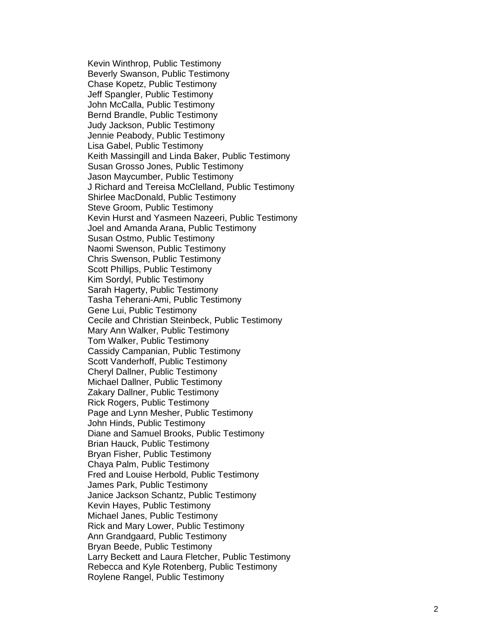Kevin Winthrop, Public Testimony Beverly Swanson, Public Testimony Chase Kopetz, Public Testimony Jeff Spangler, Public Testimony John McCalla, Public Testimony Bernd Brandle, Public Testimony Judy Jackson, Public Testimony Jennie Peabody, Public Testimony Lisa Gabel, Public Testimony Keith Massingill and Linda Baker, Public Testimony Susan Grosso Jones, Public Testimony Jason Maycumber, Public Testimony J Richard and Tereisa McClelland, Public Testimony Shirlee MacDonald, Public Testimony Steve Groom, Public Testimony Kevin Hurst and Yasmeen Nazeeri, Public Testimony Joel and Amanda Arana, Public Testimony Susan Ostmo, Public Testimony Naomi Swenson, Public Testimony Chris Swenson, Public Testimony Scott Phillips, Public Testimony Kim Sordyl, Public Testimony Sarah Hagerty, Public Testimony Tasha Teherani -Ami, Public Testimony Gene Lui, Public Testimony Cecile and Christian Steinbeck, Public Testimony Mary Ann Walker, Public Testimony Tom Walker, Public Testimony Cassidy Campanian, Public Testimony Scott Vanderhoff, Public Testimony Cheryl Dallne r, Public Testimony Michael Dallner, Public Testimony Zakary Dallner, Public Testimony Rick Rogers, Public Testimony Page and Lynn Mesher, Public Testimony John Hinds, Public Testimony Diane and Samuel Brooks, Public Testimony Brian Hauck, Public Testimony Bryan Fisher, Public Testimony Chaya Palm, Public Testimony Fred and Louise Herbold, Public Testimony James Park, Public Testimony Janice Jackson Schantz, Public Testimony Kevin Hayes, Public Testimony Michael Janes, Public Testimony Rick and Mary Lower, Public Testimony Ann Grandgaard, Public Testimony Bryan Beede, Public Testimony Larry Beckett and Laura Fletcher, Public Testimony Rebecca and Kyle Rotenberg, Public Testimony Roylene Rangel, Public Testimony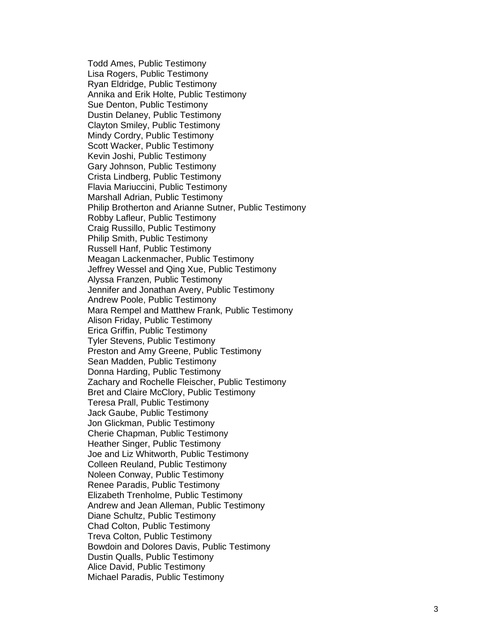Todd Ames, Public Testimony Lisa Rogers, Public Testimony Ryan Eldridge, Public Testimony Annika and Erik Holte, Public Testimony Sue Denton, Public Testimony Dustin Delaney, Public Testimony Clayton Smiley, Public Testimony Mindy Cordry, Public Testimony Scott Wacker, Public Testimony Kevin Joshi, Public Testimony Gary Johnson, Public Testimony Crista Lindberg, Public Testimony Flavia Mariuccini, Public Testimony Marshall Adrian, Public Testimony Philip Brotherton and Arianne Sutner, Public Testimony Robby Lafleur, Public Testimony Craig Russillo, Public Testimony Philip Smith, Public Testimony Russell Hanf, Public Testimony Meagan Lackenmacher, Public Testimony Jeffrey Wessel and Qing Xue, Public Testimony Alyssa Franzen, Public Testimony Jennifer and Jonathan Avery, Public Testimony Andrew Poole, Public Testimony Mara Rempel and Matthew Frank, Public Testimony Alison Friday, Public Testimony Erica Griffin, Public Testimony Tyler Stevens, Public Testimony Preston and Amy Greene, Public Testimony Sean Madden, Public Testimony Donna Harding, Public Testimony Zachary and Rochelle Fleischer, Public Testimony Bret and Claire McClory, Public Testimony Teresa Prall, Public Testimony Jack Gaube, Public Testimony Jon Glickman, Public Testimony Cherie Chapman, Public Testimony Heather Singer, Public Testimony Joe and Liz Whitworth, Public Testimony Colleen Reuland, Public Testimony Noleen Conway, Public Testimony Renee Paradis, Public Testimony Elizabeth Trenholme, Public Testimony Andrew and Jean Alleman, Public Testimony Diane Schultz, Public Testimony Chad Colton, Public Testimony Treva Colton, Public Testimony Bowdoin and Dolores Davis, Public Testimony Dustin Qualls, Public Testimony Alice David, Public Testimony Michael Paradis, Public Testimony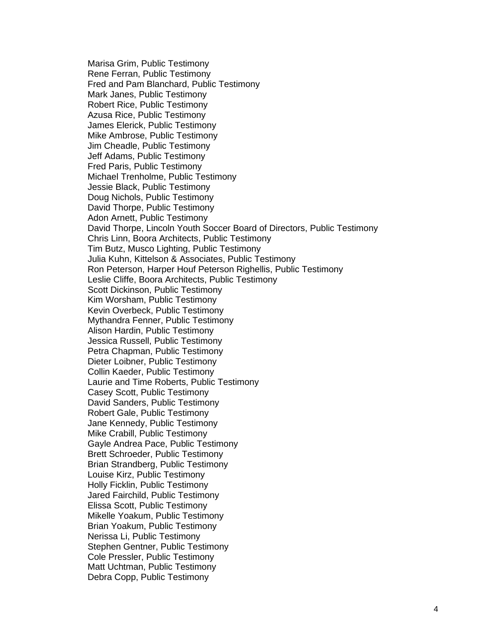Marisa Grim, Public Testimony Rene Ferran, Public Testimony Fred and Pam Blanchard, Public Testimony Mark Janes, Public Testimony Robert Rice, Public Testimony Azusa Rice, Public Testimony James Elerick, Public Testimony Mike Ambrose, Public Testimony Jim Cheadle, Public Testimony Jeff Adams, Public Testimony Fred Paris, Public Testimony Michael Trenholme, Public Testimony Jessie Black, Public Testimony Doug Nichols, Public Testimony David Thorpe, Public Testimony Adon Arnett, Public Testimony David Thorpe, Lincoln Youth Soccer Board of Directors, Public Testimony Chris Linn, Boora Architects, Public Testimony Tim Butz, Musco Lighting, Public Testimony Julia Kuhn, Kittelson & Associates, Public Testimony Ron Peterson, Harper Houf Peterson Righellis, Public Testimony Leslie Cliffe, Boora Architects, Public Testimony Scott Dickinson, Public Testimony Kim Worsham, Public Testimony Kevin Overbeck, Public Testimony Mythandra Fenner, Public Testimony Alison Hardin, Public Testimony Jessica Russell, Public Testimony Petra Chapman, Public Testimony Dieter Loibner, Public Testimony Collin Kaeder, Public Testimony Laurie and Time Roberts, Public Testimony Casey Scott, Public Testimony David Sanders, Public Testimony Robert Gale, Public Testimony Jane Kennedy, Public Testimony Mike Crabill, Public Testimony Gayle Andrea Pace, Public Testimony Brett Schroeder, Public Testimony Brian Strandberg, Public Testimony Louise Kirz, Public Testimony Holly Ficklin, Public Testimony Jared Fairchild, Public Testimony Elissa Scott, Public Testimony Mikelle Yoakum, Public Testimony Brian Yoakum, Public Testimony Nerissa Li, Public Testimony Stephen Gentner, Public Testimony Cole Pressler, Public Testimony Matt Uchtman, Public Testimony Debra Copp, Public Testimony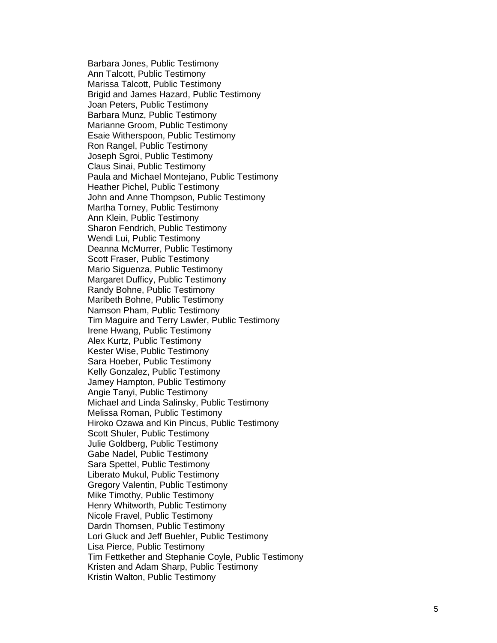Barbara Jones, Public Testimony Ann Talcott, Public Testimony Marissa Talcott, Public Testimony Brigid and James Hazard, Public Testimony Joan Peters, Public Testimony Barbara Munz, Public Testimony Marianne Groom, Public Testimony Esaie Witherspoon, Public Testimony Ron Rangel, Public Testimony Joseph Sgroi, Public Testimony Claus Sinai, Public Testimony Paula and Michael Montejano, Public Testimony Heather Pichel, Public Testimony John and Anne Thompson, Public Testimony Martha Torney, Public Testimony Ann Klein, Public Testimony Sharon Fendrich, Public Testimony Wendi Lui, Public Testimony Deanna McMurrer, Public Testimony Scott Fraser, Public Testimony Mario Siguenza, Public Testimony Margaret Dufficy, Public Testimony Randy Bohne, Public Testimony Maribeth Bohne, Public Testimony Namson Pham, Public Testimony Tim Maguire and Terry Lawler, Public Testimony Irene Hwang, Public Testimony Alex Kurtz, Public Testimony Kester Wise, Public Testimony Sara Hoeber, Public Testimony Kelly Gonzalez, Public Testimony Jamey Hampton, Public Testimony Angie Tanyi, Public Testimony Michael and Linda Salinsky, Public Testimony Melissa Roman, Public Testimony Hiroko Ozawa and Kin Pincus, Public Testimony Scott Shuler, Public Testimony Julie Goldberg, Public Testimony Gabe Nadel, Public Testimony Sara Spettel, Public Testimony Liberato Mukul, Public Testimony Gregory Valentin, Public Testimony Mike Timothy, Public Testimony Henry Whitworth, Public Testimony Nicole Fravel, Public Testimony Dardn Thomsen, Public Testimony Lori Gluck and Jeff Buehler, Public Testimony Lisa Pierce, Public Testimony Tim Fettkether and Stephanie Coyle, Public Testimony Kristen and Adam Sharp, Public Testimony Kristin Walton, Public Testimony